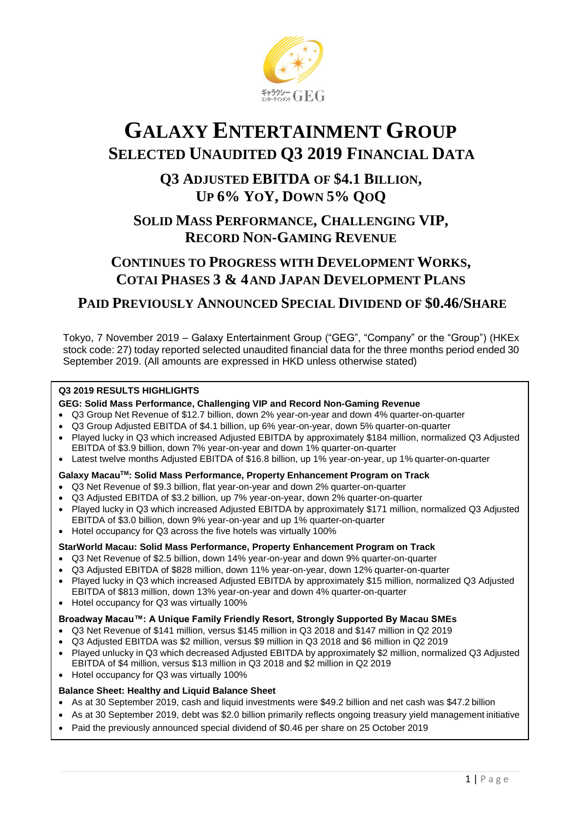

# **GALAXY ENTERTAINMENT GROUP SELECTED UNAUDITED Q3 2019 FINANCIAL DATA**

# **Q3 ADJUSTED EBITDA OF \$4.1 BILLION, UP 6% YOY, DOWN 5% QOQ**

# **SOLID MASS PERFORMANCE, CHALLENGING VIP, RECORD NON-GAMING REVENUE**

# **CONTINUES TO PROGRESS WITH DEVELOPMENT WORKS, COTAI PHASES 3 & 4AND JAPAN DEVELOPMENT PLANS**

# **PAID PREVIOUSLY ANNOUNCED SPECIAL DIVIDEND OF \$0.46/SHARE**

Tokyo, 7 November 2019 – Galaxy Entertainment Group ("GEG", "Company" or the "Group") (HKEx stock code: 27) today reported selected unaudited financial data for the three months period ended 30 September 2019. (All amounts are expressed in HKD unless otherwise stated)

#### **Q3 2019 RESULTS HIGHLIGHTS**

#### **GEG: Solid Mass Performance, Challenging VIP and Record Non-Gaming Revenue**

- Q3 Group Net Revenue of \$12.7 billion, down 2% year-on-year and down 4% quarter-on-quarter
- Q3 Group Adjusted EBITDA of \$4.1 billion, up 6% year-on-year, down 5% quarter-on-quarter
- Played lucky in Q3 which increased Adjusted EBITDA by approximately \$184 million, normalized Q3 Adjusted EBITDA of \$3.9 billion, down 7% year-on-year and down 1% quarter-on-quarter
- Latest twelve months Adjusted EBITDA of \$16.8 billion, up 1% year-on-year, up 1% quarter-on-quarter

#### **Galaxy MacauTM: Solid Mass Performance, Property Enhancement Program on Track**

- Q3 Net Revenue of \$9.3 billion, flat year-on-year and down 2% quarter-on-quarter
- Q3 Adjusted EBITDA of \$3.2 billion, up 7% year-on-year, down 2% quarter-on-quarter
- Played lucky in Q3 which increased Adjusted EBITDA by approximately \$171 million, normalized Q3 Adjusted EBITDA of \$3.0 billion, down 9% year-on-year and up 1% quarter-on-quarter
- Hotel occupancy for Q3 across the five hotels was virtually 100%

#### **StarWorld Macau: Solid Mass Performance, Property Enhancement Program on Track**

- Q3 Net Revenue of \$2.5 billion, down 14% year-on-year and down 9% quarter-on-quarter
- Q3 Adjusted EBITDA of \$828 million, down 11% year-on-year, down 12% quarter-on-quarter
- Played lucky in Q3 which increased Adjusted EBITDA by approximately \$15 million, normalized Q3 Adjusted EBITDA of \$813 million, down 13% year-on-year and down 4% quarter-on-quarter
- Hotel occupancy for Q3 was virtually 100%

#### **Broadway Macau™: A Unique Family Friendly Resort, Strongly Supported By Macau SMEs**

- Q3 Net Revenue of \$141 million, versus \$145 million in Q3 2018 and \$147 million in Q2 2019
- Q3 Adjusted EBITDA was \$2 million, versus \$9 million in Q3 2018 and \$6 million in Q2 2019
- Played unlucky in Q3 which decreased Adjusted EBITDA by approximately \$2 million, normalized Q3 Adjusted EBITDA of \$4 million, versus \$13 million in Q3 2018 and \$2 million in Q2 2019
- Hotel occupancy for Q3 was virtually 100%

#### **Balance Sheet: Healthy and Liquid Balance Sheet**

- As at 30 September 2019, cash and liquid investments were \$49.2 billion and net cash was \$47.2 billion
- As at 30 September 2019, debt was \$2.0 billion primarily reflects ongoing treasury yield management initiative
- Paid the previously announced special dividend of \$0.46 per share on 25 October 2019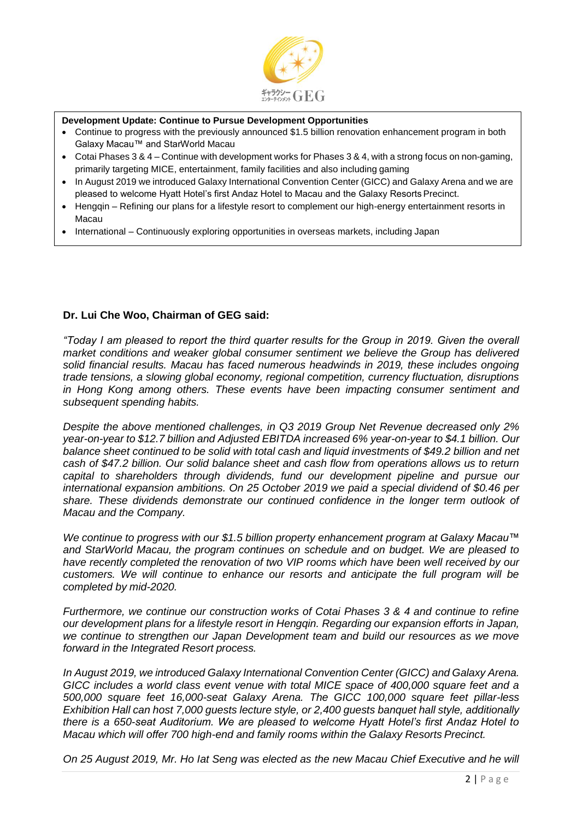

#### **Development Update: Continue to Pursue Development Opportunities**

- Continue to progress with the previously announced \$1.5 billion renovation enhancement program in both Galaxy Macau™ and StarWorld Macau
- Cotai Phases 3 & 4 Continue with development works for Phases 3 & 4, with a strong focus on non-gaming, primarily targeting MICE, entertainment, family facilities and also including gaming
- In August 2019 we introduced Galaxy International Convention Center (GICC) and Galaxy Arena and we are pleased to welcome Hyatt Hotel's first Andaz Hotel to Macau and the Galaxy Resorts Precinct.
- Hengqin Refining our plans for a lifestyle resort to complement our high-energy entertainment resorts in Macau
- International Continuously exploring opportunities in overseas markets, including Japan

#### **Dr. Lui Che Woo, Chairman of GEG said:**

*"Today I am pleased to report the third quarter results for the Group in 2019. Given the overall market conditions and weaker global consumer sentiment we believe the Group has delivered solid financial results. Macau has faced numerous headwinds in 2019, these includes ongoing trade tensions, a slowing global economy, regional competition, currency fluctuation, disruptions in Hong Kong among others. These events have been impacting consumer sentiment and subsequent spending habits.*

*Despite the above mentioned challenges, in Q3 2019 Group Net Revenue decreased only 2% year-on-year to \$12.7 billion and Adjusted EBITDA increased 6% year-on-year to \$4.1 billion. Our balance sheet continued to be solid with total cash and liquid investments of \$49.2 billion and net cash of \$47.2 billion. Our solid balance sheet and cash flow from operations allows us to return capital to shareholders through dividends, fund our development pipeline and pursue our international expansion ambitions. On 25 October 2019 we paid a special dividend of \$0.46 per share. These dividends demonstrate our continued confidence in the longer term outlook of Macau and the Company.*

*We continue to progress with our \$1.5 billion property enhancement program at Galaxy Macau™ and StarWorld Macau, the program continues on schedule and on budget. We are pleased to have recently completed the renovation of two VIP rooms which have been well received by our customers. We will continue to enhance our resorts and anticipate the full program will be completed by mid-2020.*

*Furthermore, we continue our construction works of Cotai Phases 3 & 4 and continue to refine our development plans for a lifestyle resort in Hengqin. Regarding our expansion efforts in Japan, we continue to strengthen our Japan Development team and build our resources as we move forward in the Integrated Resort process.*

*In August 2019, we introduced Galaxy International Convention Center (GICC) and Galaxy Arena. GICC includes a world class event venue with total MICE space of 400,000 square feet and a 500,000 square feet 16,000-seat Galaxy Arena. The GICC 100,000 square feet pillar-less Exhibition Hall can host 7,000 guests lecture style, or 2,400 guests banquet hall style, additionally there is a 650-seat Auditorium. We are pleased to welcome Hyatt Hotel's first Andaz Hotel to Macau which will offer 700 high-end and family rooms within the Galaxy Resorts Precinct.*

*On 25 August 2019, Mr. Ho Iat Seng was elected as the new Macau Chief Executive and he will*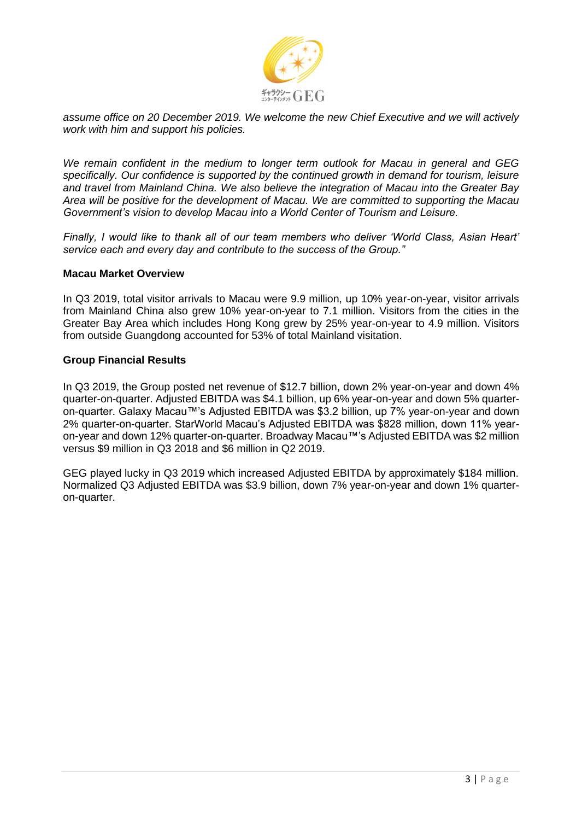

*assume office on 20 December 2019. We welcome the new Chief Executive and we will actively work with him and support his policies.*

*We remain confident in the medium to longer term outlook for Macau in general and GEG specifically. Our confidence is supported by the continued growth in demand for tourism, leisure and travel from Mainland China. We also believe the integration of Macau into the Greater Bay Area will be positive for the development of Macau. We are committed to supporting the Macau Government's vision to develop Macau into a World Center of Tourism and Leisure.*

*Finally, I would like to thank all of our team members who deliver 'World Class, Asian Heart' service each and every day and contribute to the success of the Group."*

#### **Macau Market Overview**

In Q3 2019, total visitor arrivals to Macau were 9.9 million, up 10% year-on-year, visitor arrivals from Mainland China also grew 10% year-on-year to 7.1 million. Visitors from the cities in the Greater Bay Area which includes Hong Kong grew by 25% year-on-year to 4.9 million. Visitors from outside Guangdong accounted for 53% of total Mainland visitation.

#### **Group Financial Results**

In Q3 2019, the Group posted net revenue of \$12.7 billion, down 2% year-on-year and down 4% quarter-on-quarter. Adjusted EBITDA was \$4.1 billion, up 6% year-on-year and down 5% quarteron-quarter. Galaxy Macau™'s Adjusted EBITDA was \$3.2 billion, up 7% year-on-year and down 2% quarter-on-quarter. StarWorld Macau's Adjusted EBITDA was \$828 million, down 11% yearon-year and down 12% quarter-on-quarter. Broadway Macau™'s Adjusted EBITDA was \$2 million versus \$9 million in Q3 2018 and \$6 million in Q2 2019.

GEG played lucky in Q3 2019 which increased Adjusted EBITDA by approximately \$184 million. Normalized Q3 Adjusted EBITDA was \$3.9 billion, down 7% year-on-year and down 1% quarteron-quarter.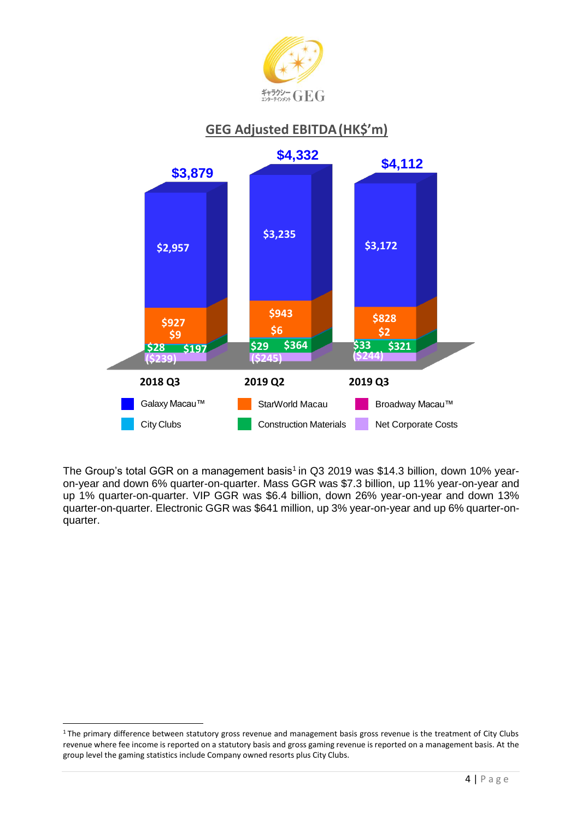

# **GEG Adjusted EBITDA(HK\$'m)**



The Group's total GGR on a management basis<sup>1</sup> in Q3 2019 was \$14.3 billion, down 10% yearon-year and down 6% quarter-on-quarter. Mass GGR was \$7.3 billion, up 11% year-on-year and up 1% quarter-on-quarter. VIP GGR was \$6.4 billion, down 26% year-on-year and down 13% quarter-on-quarter. Electronic GGR was \$641 million, up 3% year-on-year and up 6% quarter-onquarter.

<sup>&</sup>lt;sup>1</sup>The primary difference between statutory gross revenue and management basis gross revenue is the treatment of City Clubs revenue where fee income is reported on a statutory basis and gross gaming revenue is reported on a management basis. At the group level the gaming statistics include Company owned resorts plus City Clubs.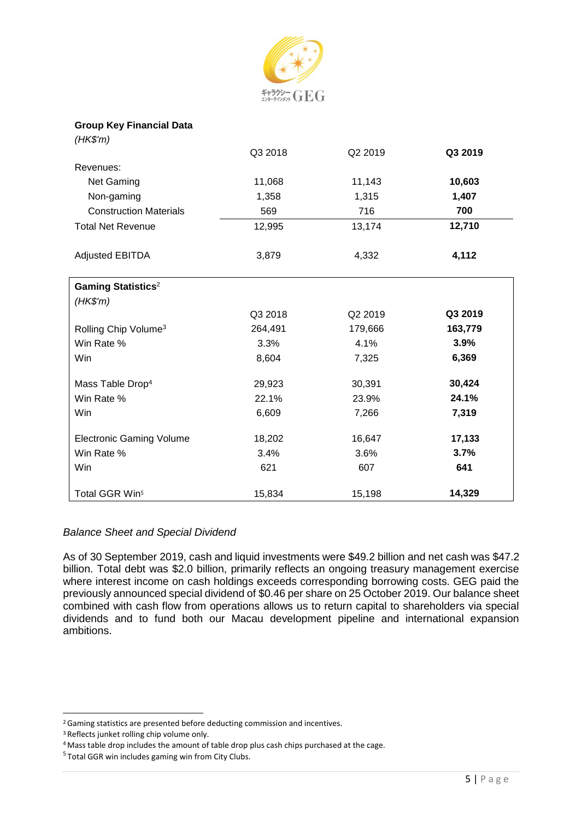

#### **Group Key Financial Data**

| (HK\$'m)                              |         |         |         |
|---------------------------------------|---------|---------|---------|
|                                       | Q3 2018 | Q2 2019 | Q3 2019 |
| Revenues:                             |         |         |         |
| Net Gaming                            | 11,068  | 11,143  | 10,603  |
| Non-gaming                            | 1,358   | 1,315   | 1,407   |
| <b>Construction Materials</b>         | 569     | 716     | 700     |
| <b>Total Net Revenue</b>              | 12,995  | 13,174  | 12,710  |
| <b>Adjusted EBITDA</b>                | 3,879   | 4,332   | 4,112   |
| <b>Gaming Statistics</b> <sup>2</sup> |         |         |         |
| $(HK\$ 'm)                            |         |         |         |
|                                       | Q3 2018 | Q2 2019 | Q3 2019 |
| Rolling Chip Volume <sup>3</sup>      | 264,491 | 179,666 | 163,779 |
| Win Rate %                            | 3.3%    | 4.1%    | 3.9%    |
| Win                                   | 8,604   | 7,325   | 6,369   |
| Mass Table Drop <sup>4</sup>          | 29,923  | 30,391  | 30,424  |
| Win Rate %                            | 22.1%   | 23.9%   | 24.1%   |
| Win                                   | 6,609   | 7,266   | 7,319   |
| <b>Electronic Gaming Volume</b>       | 18,202  | 16,647  | 17,133  |
| Win Rate %                            | 3.4%    | 3.6%    | 3.7%    |
| Win                                   | 621     | 607     | 641     |
| Total GGR Win <sup>5</sup>            | 15,834  | 15,198  | 14,329  |

# *Balance Sheet and Special Dividend*

As of 30 September 2019, cash and liquid investments were \$49.2 billion and net cash was \$47.2 billion. Total debt was \$2.0 billion, primarily reflects an ongoing treasury management exercise where interest income on cash holdings exceeds corresponding borrowing costs. GEG paid the previously announced special dividend of \$0.46 per share on 25 October 2019. Our balance sheet combined with cash flow from operations allows us to return capital to shareholders via special dividends and to fund both our Macau development pipeline and international expansion ambitions.

<sup>2</sup>Gaming statistics are presented before deducting commission and incentives.

<sup>3</sup>Reflects junket rolling chip volume only.

<sup>&</sup>lt;sup>4</sup> Mass table drop includes the amount of table drop plus cash chips purchased at the cage.

<sup>&</sup>lt;sup>5</sup> Total GGR win includes gaming win from City Clubs.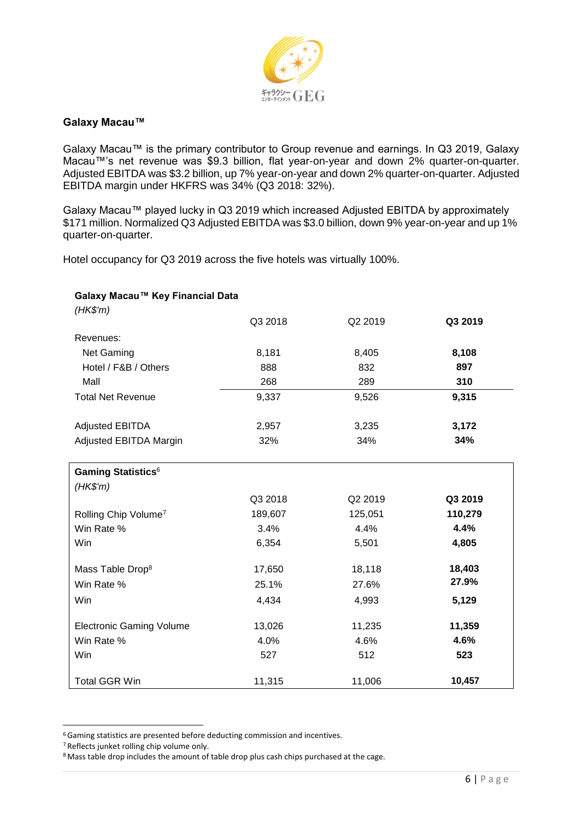

### **Galaxy Macau™**

Galaxy Macau™ is the primary contributor to Group revenue and earnings. In Q3 2019, Galaxy Macau™'s net revenue was \$9.3 billion, flat year-on-year and down 2% quarter-on-quarter. Adjusted EBITDA was \$3.2 billion, up 7% year-on-year and down 2% quarter-on-quarter. Adjusted EBITDA margin under HKFRS was 34% (Q3 2018: 32%).

Galaxy Macau™ played lucky in Q3 2019 which increased Adjusted EBITDA by approximately \$171 million. Normalized Q3 Adjusted EBITDA was \$3.0 billion, down 9% year-on-year and up 1% quarter-on-quarter.

Hotel occupancy for Q3 2019 across the five hotels was virtually 100%.

| Galaxy Macau™ Key Financial Data                  |         |         |         |  |
|---------------------------------------------------|---------|---------|---------|--|
| (HK\$'m)                                          | Q3 2018 | Q2 2019 | Q3 2019 |  |
|                                                   |         |         |         |  |
| Revenues:                                         |         |         |         |  |
| Net Gaming                                        | 8,181   | 8,405   | 8,108   |  |
| Hotel / F&B / Others                              | 888     | 832     | 897     |  |
| Mall                                              | 268     | 289     | 310     |  |
| <b>Total Net Revenue</b>                          | 9,337   | 9,526   | 9,315   |  |
|                                                   |         |         |         |  |
| <b>Adjusted EBITDA</b>                            | 2,957   | 3,235   | 3,172   |  |
| Adjusted EBITDA Margin                            | 32%     | 34%     | 34%     |  |
| <b>Gaming Statistics</b> <sup>6</sup><br>(HK\$'m) |         |         |         |  |
|                                                   | Q3 2018 | Q2 2019 | Q3 2019 |  |
| Rolling Chip Volume <sup>7</sup>                  | 189,607 | 125,051 | 110,279 |  |
| Win Rate %                                        | 3.4%    | 4.4%    | 4.4%    |  |
| Win                                               | 6,354   | 5,501   | 4,805   |  |
| Mass Table Drop <sup>8</sup>                      | 17,650  | 18,118  | 18,403  |  |
| Win Rate %                                        | 25.1%   | 27.6%   | 27.9%   |  |
| Win                                               | 4,434   | 4,993   | 5,129   |  |
| <b>Electronic Gaming Volume</b>                   | 13,026  | 11,235  | 11,359  |  |
| Win Rate %                                        | 4.0%    | 4.6%    | 4.6%    |  |
| Win                                               | 527     | 512     | 523     |  |
| <b>Total GGR Win</b>                              | 11,315  | 11,006  | 10,457  |  |

<sup>6</sup>Gaming statistics are presented before deducting commission and incentives.

<sup>7</sup>Reflects junket rolling chip volume only.

<sup>&</sup>lt;sup>8</sup> Mass table drop includes the amount of table drop plus cash chips purchased at the cage.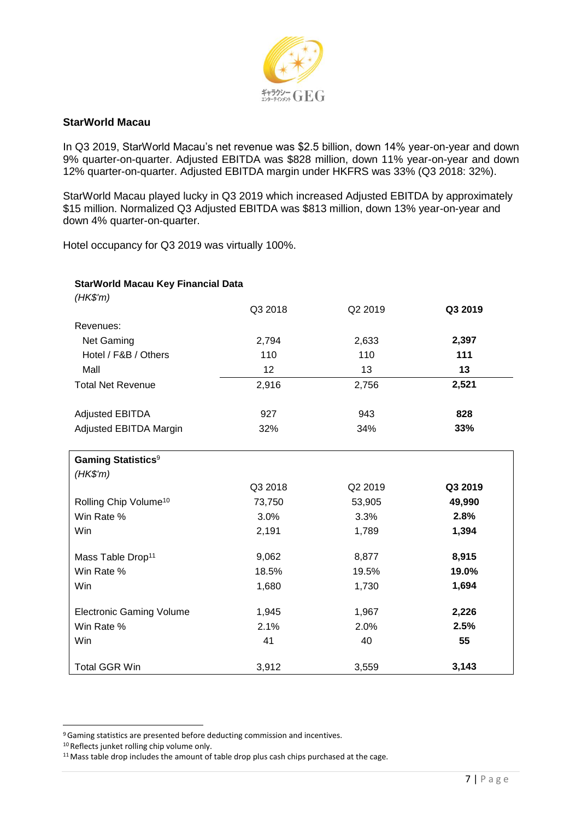

### **StarWorld Macau**

In Q3 2019, StarWorld Macau's net revenue was \$2.5 billion, down 14% year-on-year and down 9% quarter-on-quarter. Adjusted EBITDA was \$828 million, down 11% year-on-year and down 12% quarter-on-quarter. Adjusted EBITDA margin under HKFRS was 33% (Q3 2018: 32%).

StarWorld Macau played lucky in Q3 2019 which increased Adjusted EBITDA by approximately \$15 million. Normalized Q3 Adjusted EBITDA was \$813 million, down 13% year-on-year and down 4% quarter-on-quarter.

Hotel occupancy for Q3 2019 was virtually 100%.

| <b>StarWorld Macau Key Financial Data</b> |         |         |         |
|-------------------------------------------|---------|---------|---------|
| (HK\$'m)                                  |         |         |         |
|                                           | Q3 2018 | Q2 2019 | Q3 2019 |
| Revenues:                                 |         |         |         |
| Net Gaming                                | 2,794   | 2,633   | 2,397   |
| Hotel / F&B / Others                      | 110     | 110     | 111     |
| Mall                                      | 12      | 13      | 13      |
| <b>Total Net Revenue</b>                  | 2,916   | 2,756   | 2,521   |
| <b>Adjusted EBITDA</b>                    | 927     | 943     | 828     |
| Adjusted EBITDA Margin                    | 32%     | 34%     | 33%     |
| <b>Gaming Statistics<sup>9</sup></b>      |         |         |         |
| (HK\$'m)                                  |         |         |         |
|                                           | Q3 2018 | Q2 2019 | Q3 2019 |
| Rolling Chip Volume <sup>10</sup>         | 73,750  | 53,905  | 49,990  |
| Win Rate %                                | 3.0%    | 3.3%    | 2.8%    |
| Win                                       | 2,191   | 1,789   | 1,394   |
| Mass Table Drop <sup>11</sup>             | 9,062   | 8,877   | 8,915   |
| Win Rate %                                | 18.5%   | 19.5%   | 19.0%   |
| Win                                       | 1,680   | 1,730   | 1,694   |
| <b>Electronic Gaming Volume</b>           | 1,945   | 1,967   | 2,226   |
| Win Rate %                                | 2.1%    | 2.0%    | 2.5%    |
| Win                                       | 41      | 40      | 55      |
| <b>Total GGR Win</b>                      | 3,912   | 3,559   | 3,143   |

<sup>9</sup>Gaming statistics are presented before deducting commission and incentives.

<sup>10</sup> Reflects junket rolling chip volume only.

<sup>&</sup>lt;sup>11</sup> Mass table drop includes the amount of table drop plus cash chips purchased at the cage.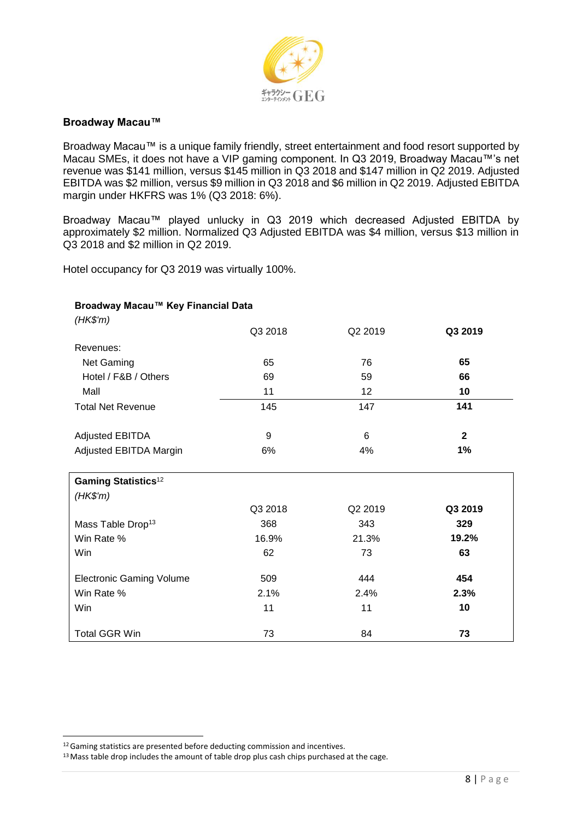

### **Broadway Macau™**

Broadway Macau™ is a unique family friendly, street entertainment and food resort supported by Macau SMEs, it does not have a VIP gaming component. In Q3 2019, Broadway Macau™'s net revenue was \$141 million, versus \$145 million in Q3 2018 and \$147 million in Q2 2019. Adjusted EBITDA was \$2 million, versus \$9 million in Q3 2018 and \$6 million in Q2 2019. Adjusted EBITDA margin under HKFRS was 1% (Q3 2018: 6%).

Broadway Macau™ played unlucky in Q3 2019 which decreased Adjusted EBITDA by approximately \$2 million. Normalized Q3 Adjusted EBITDA was \$4 million, versus \$13 million in Q3 2018 and \$2 million in Q2 2019.

Hotel occupancy for Q3 2019 was virtually 100%.

#### **Broadway Macau™ Key Financial Data**

| (HK\$'m)                               |         |         |              |
|----------------------------------------|---------|---------|--------------|
|                                        | Q3 2018 | Q2 2019 | Q3 2019      |
| Revenues:                              |         |         |              |
| Net Gaming                             | 65      | 76      | 65           |
| Hotel / F&B / Others                   | 69      | 59      | 66           |
| Mall                                   | 11      | 12      | 10           |
| <b>Total Net Revenue</b>               | 145     | 147     | 141          |
| <b>Adjusted EBITDA</b>                 | 9       | 6       | $\mathbf{2}$ |
| Adjusted EBITDA Margin                 | 6%      | 4%      | 1%           |
| <b>Gaming Statistics</b> <sup>12</sup> |         |         |              |
| (HK\$'m)                               |         |         |              |
|                                        | Q3 2018 | Q2 2019 | Q3 2019      |
| Mass Table Drop <sup>13</sup>          | 368     | 343     | 329          |
| Win Rate %                             | 16.9%   | 21.3%   | 19.2%        |
| Win                                    | 62      | 73      | 63           |
| <b>Electronic Gaming Volume</b>        | 509     | 444     | 454          |
| Win Rate %                             | 2.1%    | 2.4%    | 2.3%         |
| Win                                    | 11      | 11      | 10           |
| <b>Total GGR Win</b>                   | 73      | 84      | 73           |

<sup>&</sup>lt;sup>12</sup> Gaming statistics are presented before deducting commission and incentives.

<sup>&</sup>lt;sup>13</sup> Mass table drop includes the amount of table drop plus cash chips purchased at the cage.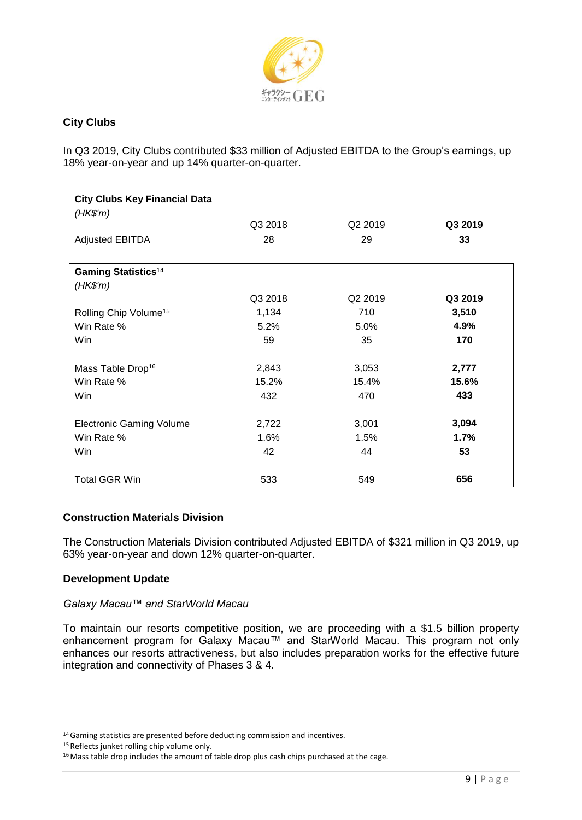

# **City Clubs**

In Q3 2019, City Clubs contributed \$33 million of Adjusted EBITDA to the Group's earnings, up 18% year-on-year and up 14% quarter-on-quarter.

| <b>City Clubs Key Financial Data</b><br>(HK\$'m) |         |                     |         |
|--------------------------------------------------|---------|---------------------|---------|
|                                                  | Q3 2018 | Q2 2019             | Q3 2019 |
| <b>Adjusted EBITDA</b>                           | 28      | 29                  | 33      |
| <b>Gaming Statistics</b> <sup>14</sup>           |         |                     |         |
| $(HK\$ 'm)                                       |         |                     |         |
|                                                  | Q3 2018 | Q <sub>2</sub> 2019 | Q3 2019 |
| Rolling Chip Volume <sup>15</sup>                | 1,134   | 710                 | 3,510   |
| Win Rate %                                       | 5.2%    | 5.0%                | 4.9%    |
| Win                                              | 59      | 35                  | 170     |
| Mass Table Drop <sup>16</sup>                    | 2,843   | 3,053               | 2,777   |
| Win Rate %                                       | 15.2%   | 15.4%               | 15.6%   |
| Win                                              | 432     | 470                 | 433     |
| <b>Electronic Gaming Volume</b>                  | 2,722   | 3,001               | 3,094   |
| Win Rate %                                       | 1.6%    | 1.5%                | 1.7%    |
| Win                                              | 42      | 44                  | 53      |
| <b>Total GGR Win</b>                             | 533     | 549                 | 656     |

# **Construction Materials Division**

The Construction Materials Division contributed Adjusted EBITDA of \$321 million in Q3 2019, up 63% year-on-year and down 12% quarter-on-quarter.

# **Development Update**

# *Galaxy Macau™ and StarWorld Macau*

To maintain our resorts competitive position, we are proceeding with a \$1.5 billion property enhancement program for Galaxy Macau™ and StarWorld Macau. This program not only enhances our resorts attractiveness, but also includes preparation works for the effective future integration and connectivity of Phases 3 & 4.

<sup>14</sup>Gaming statistics are presented before deducting commission and incentives.

<sup>15</sup> Reflects junket rolling chip volume only.

<sup>&</sup>lt;sup>16</sup> Mass table drop includes the amount of table drop plus cash chips purchased at the cage.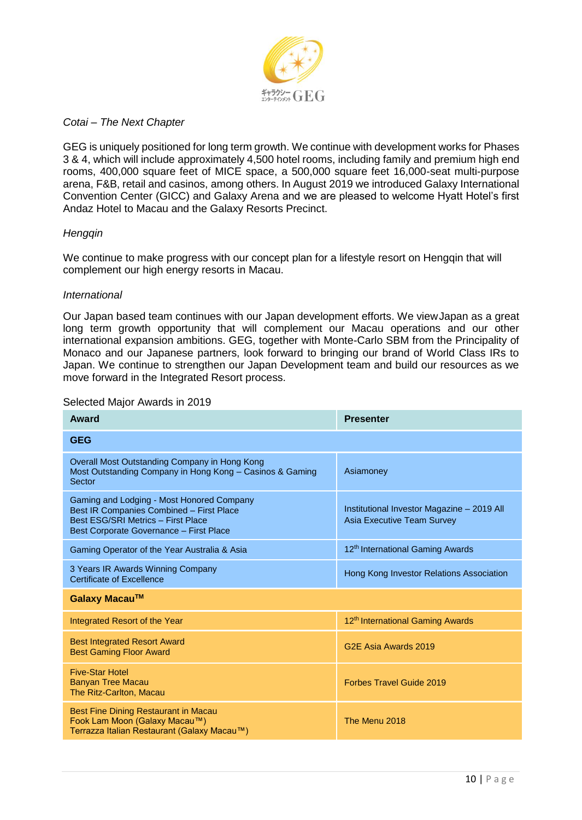

### *Cotai – The Next Chapter*

GEG is uniquely positioned for long term growth. We continue with development works for Phases 3 & 4, which will include approximately 4,500 hotel rooms, including family and premium high end rooms, 400,000 square feet of MICE space, a 500,000 square feet 16,000-seat multi-purpose arena, F&B, retail and casinos, among others. In August 2019 we introduced Galaxy International Convention Center (GICC) and Galaxy Arena and we are pleased to welcome Hyatt Hotel's first Andaz Hotel to Macau and the Galaxy Resorts Precinct.

#### *Hengqin*

We continue to make progress with our concept plan for a lifestyle resort on Hengqin that will complement our high energy resorts in Macau.

#### *International*

Our Japan based team continues with our Japan development efforts. We viewJapan as a great long term growth opportunity that will complement our Macau operations and our other international expansion ambitions. GEG, together with Monte-Carlo SBM from the Principality of Monaco and our Japanese partners, look forward to bringing our brand of World Class IRs to Japan. We continue to strengthen our Japan Development team and build our resources as we move forward in the Integrated Resort process.

| Award                                                                                                                                                                  | <b>Presenter</b>                                                                |
|------------------------------------------------------------------------------------------------------------------------------------------------------------------------|---------------------------------------------------------------------------------|
| <b>GEG</b>                                                                                                                                                             |                                                                                 |
| Overall Most Outstanding Company in Hong Kong<br>Most Outstanding Company in Hong Kong - Casinos & Gaming<br>Sector                                                    | Asiamoney                                                                       |
| Gaming and Lodging - Most Honored Company<br>Best IR Companies Combined - First Place<br>Best ESG/SRI Metrics - First Place<br>Best Corporate Governance - First Place | Institutional Investor Magazine - 2019 All<br><b>Asia Executive Team Survey</b> |
| Gaming Operator of the Year Australia & Asia                                                                                                                           | 12 <sup>th</sup> International Gaming Awards                                    |
| 3 Years IR Awards Winning Company<br>Certificate of Excellence                                                                                                         | Hong Kong Investor Relations Association                                        |
| Galaxy Macau™                                                                                                                                                          |                                                                                 |
| Integrated Resort of the Year                                                                                                                                          | 12 <sup>th</sup> International Gaming Awards                                    |
| <b>Best Integrated Resort Award</b><br><b>Best Gaming Floor Award</b>                                                                                                  | G <sub>2</sub> F Asia Awards 2019                                               |
| <b>Five-Star Hotel</b><br><b>Banyan Tree Macau</b><br>The Ritz-Carlton, Macau                                                                                          | <b>Forbes Travel Guide 2019</b>                                                 |
| <b>Best Fine Dining Restaurant in Macau</b><br>Fook Lam Moon (Galaxy Macau™)<br>Terrazza Italian Restaurant (Galaxy Macau™)                                            | The Menu 2018                                                                   |

#### Selected Major Awards in 2019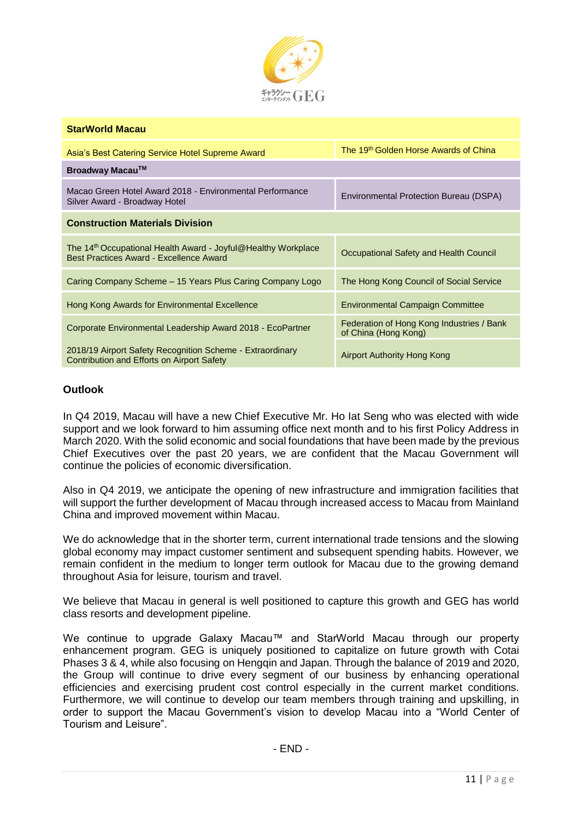

| <b>StarWorld Macau</b>                                                                                               |                                                                   |
|----------------------------------------------------------------------------------------------------------------------|-------------------------------------------------------------------|
| Asia's Best Catering Service Hotel Supreme Award                                                                     | The 19 <sup>th</sup> Golden Horse Awards of China                 |
| Broadway Macau™                                                                                                      |                                                                   |
| Macao Green Hotel Award 2018 - Environmental Performance<br>Silver Award - Broadway Hotel                            | Environmental Protection Bureau (DSPA)                            |
| <b>Construction Materials Division</b>                                                                               |                                                                   |
| The 14 <sup>th</sup> Occupational Health Award - Joyful@Healthy Workplace<br>Best Practices Award - Excellence Award | Occupational Safety and Health Council                            |
| Caring Company Scheme - 15 Years Plus Caring Company Logo                                                            | The Hong Kong Council of Social Service                           |
| Hong Kong Awards for Environmental Excellence                                                                        | <b>Environmental Campaign Committee</b>                           |
| Corporate Environmental Leadership Award 2018 - EcoPartner                                                           | Federation of Hong Kong Industries / Bank<br>of China (Hong Kong) |
| 2018/19 Airport Safety Recognition Scheme - Extraordinary<br>Contribution and Efforts on Airport Safety              | Airport Authority Hong Kong                                       |

# **Outlook**

In Q4 2019, Macau will have a new Chief Executive Mr. Ho Iat Seng who was elected with wide support and we look forward to him assuming office next month and to his first Policy Address in March 2020. With the solid economic and social foundations that have been made by the previous Chief Executives over the past 20 years, we are confident that the Macau Government will continue the policies of economic diversification.

Also in Q4 2019, we anticipate the opening of new infrastructure and immigration facilities that will support the further development of Macau through increased access to Macau from Mainland China and improved movement within Macau.

We do acknowledge that in the shorter term, current international trade tensions and the slowing global economy may impact customer sentiment and subsequent spending habits. However, we remain confident in the medium to longer term outlook for Macau due to the growing demand throughout Asia for leisure, tourism and travel.

We believe that Macau in general is well positioned to capture this growth and GEG has world class resorts and development pipeline.

We continue to upgrade Galaxy Macau™ and StarWorld Macau through our property enhancement program. GEG is uniquely positioned to capitalize on future growth with Cotai Phases 3 & 4, while also focusing on Hengqin and Japan. Through the balance of 2019 and 2020, the Group will continue to drive every segment of our business by enhancing operational efficiencies and exercising prudent cost control especially in the current market conditions. Furthermore, we will continue to develop our team members through training and upskilling, in order to support the Macau Government's vision to develop Macau into a "World Center of Tourism and Leisure".